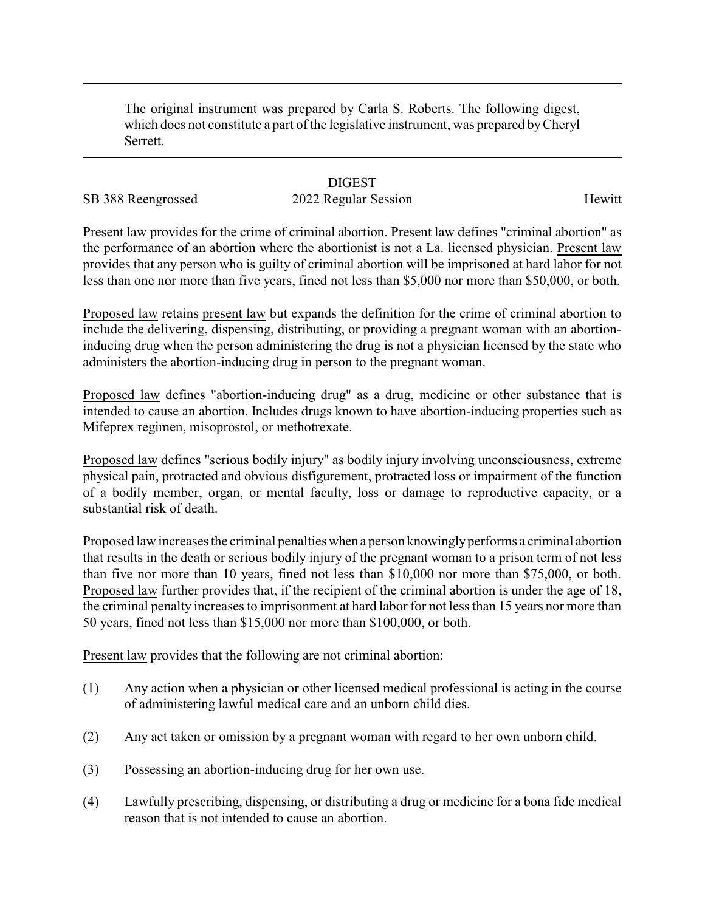The original instrument was prepared by Carla S. Roberts. The following digest, which does not constitute a part of the legislative instrument, was prepared byCheryl Serrett.

### **DIGEST**

# SB 388 Reengrossed 2022 Regular Session Hewitt

Present law provides for the crime of criminal abortion. Present law defines "criminal abortion" as the performance of an abortion where the abortionist is not a La. licensed physician. Present law provides that any person who is guilty of criminal abortion will be imprisoned at hard labor for not less than one nor more than five years, fined not less than \$5,000 nor more than \$50,000, or both.

Proposed law retains present law but expands the definition for the crime of criminal abortion to include the delivering, dispensing, distributing, or providing a pregnant woman with an abortioninducing drug when the person administering the drug is not a physician licensed by the state who administers the abortion-inducing drug in person to the pregnant woman.

Proposed law defines "abortion-inducing drug" as a drug, medicine or other substance that is intended to cause an abortion. Includes drugs known to have abortion-inducing properties such as Mifeprex regimen, misoprostol, or methotrexate.

Proposed law defines "serious bodily injury" as bodily injury involving unconsciousness, extreme physical pain, protracted and obvious disfigurement, protracted loss or impairment of the function of a bodily member, organ, or mental faculty, loss or damage to reproductive capacity, or a substantial risk of death.

Proposed law increases the criminal penalties when a person knowinglyperforms a criminal abortion that results in the death or serious bodily injury of the pregnant woman to a prison term of not less than five nor more than 10 years, fined not less than \$10,000 nor more than \$75,000, or both. Proposed law further provides that, if the recipient of the criminal abortion is under the age of 18, the criminal penalty increases to imprisonment at hard labor for not less than 15 years nor more than 50 years, fined not less than \$15,000 nor more than \$100,000, or both.

Present law provides that the following are not criminal abortion:

- (1) Any action when a physician or other licensed medical professional is acting in the course of administering lawful medical care and an unborn child dies.
- (2) Any act taken or omission by a pregnant woman with regard to her own unborn child.
- (3) Possessing an abortion-inducing drug for her own use.
- (4) Lawfully prescribing, dispensing, or distributing a drug or medicine for a bona fide medical reason that is not intended to cause an abortion.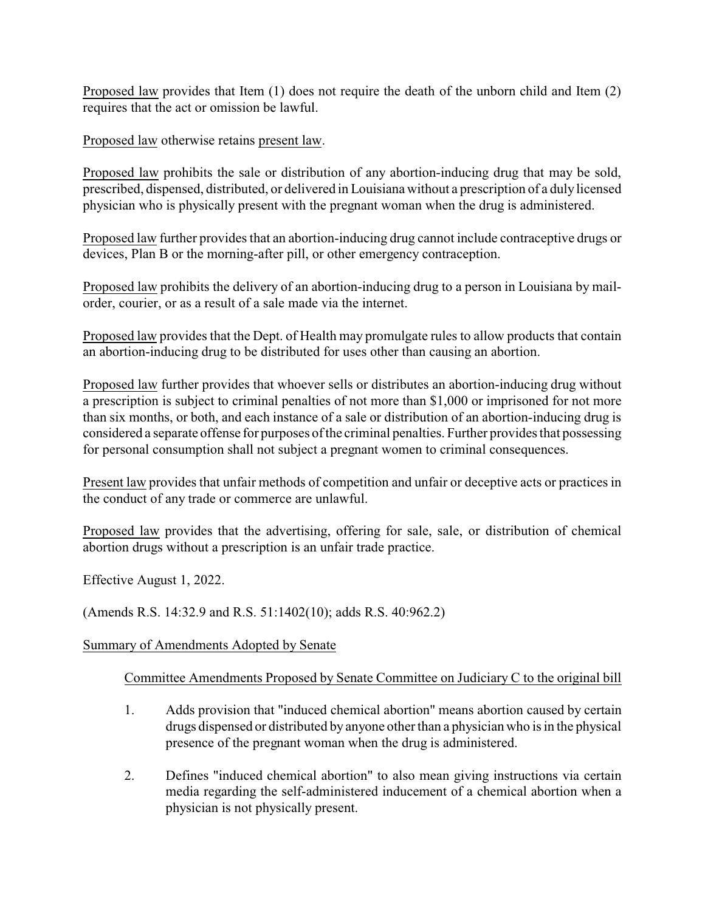Proposed law provides that Item (1) does not require the death of the unborn child and Item (2) requires that the act or omission be lawful.

Proposed law otherwise retains present law.

Proposed law prohibits the sale or distribution of any abortion-inducing drug that may be sold, prescribed, dispensed, distributed, or delivered in Louisiana without a prescription of a duly licensed physician who is physically present with the pregnant woman when the drug is administered.

Proposed law further provides that an abortion-inducing drug cannot include contraceptive drugs or devices, Plan B or the morning-after pill, or other emergency contraception.

Proposed law prohibits the delivery of an abortion-inducing drug to a person in Louisiana by mailorder, courier, or as a result of a sale made via the internet.

Proposed law provides that the Dept. of Health may promulgate rules to allow products that contain an abortion-inducing drug to be distributed for uses other than causing an abortion.

Proposed law further provides that whoever sells or distributes an abortion-inducing drug without a prescription is subject to criminal penalties of not more than \$1,000 or imprisoned for not more than six months, or both, and each instance of a sale or distribution of an abortion-inducing drug is considered a separate offense for purposes of the criminal penalties. Further provides that possessing for personal consumption shall not subject a pregnant women to criminal consequences.

Present law provides that unfair methods of competition and unfair or deceptive acts or practices in the conduct of any trade or commerce are unlawful.

Proposed law provides that the advertising, offering for sale, sale, or distribution of chemical abortion drugs without a prescription is an unfair trade practice.

Effective August 1, 2022.

(Amends R.S. 14:32.9 and R.S. 51:1402(10); adds R.S. 40:962.2)

### Summary of Amendments Adopted by Senate

## Committee Amendments Proposed by Senate Committee on Judiciary C to the original bill

- 1. Adds provision that "induced chemical abortion" means abortion caused by certain drugs dispensed or distributed by anyone other than a physician who is in the physical presence of the pregnant woman when the drug is administered.
- 2. Defines "induced chemical abortion" to also mean giving instructions via certain media regarding the self-administered inducement of a chemical abortion when a physician is not physically present.